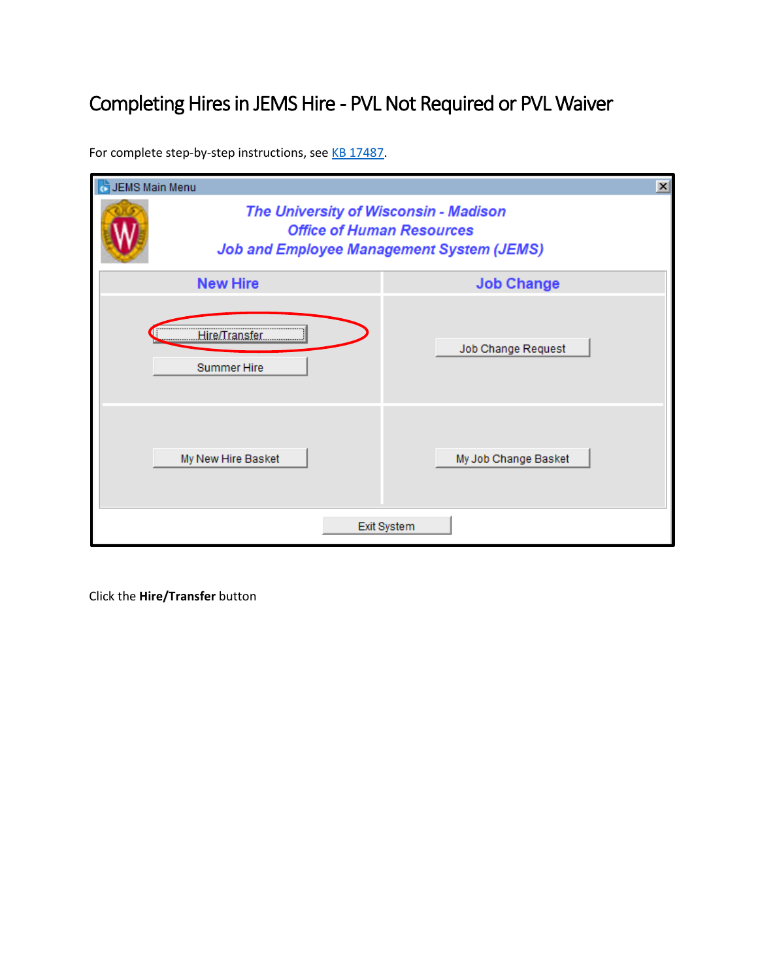## Completing Hires in JEMS Hire - PVL Not Required or PVL Waiver

For complete step-by-step instructions, see [KB 17487.](https://kb.wisc.edu/page.php?id=17487)

| JEMS Main Menu                                                                                                                |  | $\vert x \vert$      |  |  |  |  |  |  |
|-------------------------------------------------------------------------------------------------------------------------------|--|----------------------|--|--|--|--|--|--|
| The University of Wisconsin - Madison<br><b>Office of Human Resources</b><br><b>Job and Employee Management System (JEMS)</b> |  |                      |  |  |  |  |  |  |
| <b>New Hire</b>                                                                                                               |  | <b>Job Change</b>    |  |  |  |  |  |  |
| Hire/Transfer<br><br><b>Summer Hire</b>                                                                                       |  | Job Change Request   |  |  |  |  |  |  |
| My New Hire Basket                                                                                                            |  | My Job Change Basket |  |  |  |  |  |  |
| Exit System                                                                                                                   |  |                      |  |  |  |  |  |  |

Click the **Hire/Transfer** button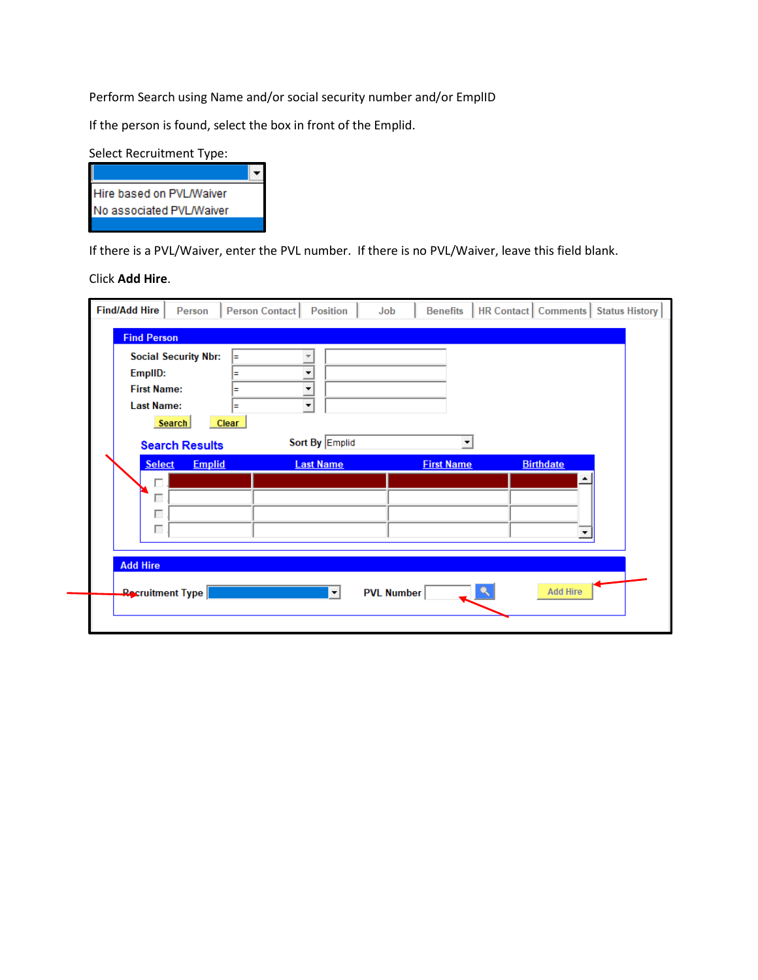Perform Search using Name and/or social security number and/or EmplID

If the person is found, select the box in front of the Emplid.

| Select Recruitment Type: |  |  |  |  |  |
|--------------------------|--|--|--|--|--|
|                          |  |  |  |  |  |
| Hire based on PVL/Waiver |  |  |  |  |  |
| No associated PVL/Waiver |  |  |  |  |  |
|                          |  |  |  |  |  |

If there is a PVL/Waiver, enter the PVL number. If there is no PVL/Waiver, leave this field blank.

Click **Add Hire**.

| <b>Find/Add Hire</b>                               | Person                                | Person Contact            |                                                                                                     | <b>Position</b>             | Job |                   | <b>Benefits</b>   |   | <b>HR Contact   Comments  </b>                | <b>Status History</b> |
|----------------------------------------------------|---------------------------------------|---------------------------|-----------------------------------------------------------------------------------------------------|-----------------------------|-----|-------------------|-------------------|---|-----------------------------------------------|-----------------------|
| <b>Find Person</b>                                 |                                       |                           |                                                                                                     |                             |     |                   |                   |   |                                               |                       |
| EmplID:<br><b>First Name:</b><br><b>Last Name:</b> | <b>Social Security Nbr:</b><br>Search | E<br>Ξ<br>Ξ<br>Ξ<br>Clear | $\overline{\mathbf{v}}$<br>$\blacktriangledown$<br>$\blacktriangledown$<br>$\overline{\phantom{0}}$ |                             |     |                   |                   |   |                                               |                       |
|                                                    | <b>Search Results</b>                 |                           |                                                                                                     | Sort By Emplid              |     |                   |                   | ▼ |                                               |                       |
| <b>Select</b><br>г<br>г<br><b>Add Hire</b>         | <b>Emplid</b>                         |                           |                                                                                                     | <b>Last Name</b><br>$\vert$ |     | <b>PVL Number</b> | <b>First Name</b> | ٩ | <b>Birthdate</b><br>▲<br>▼<br><b>Add Hire</b> |                       |
|                                                    | <b>Recruitment Type</b>               |                           |                                                                                                     |                             |     |                   |                   |   |                                               |                       |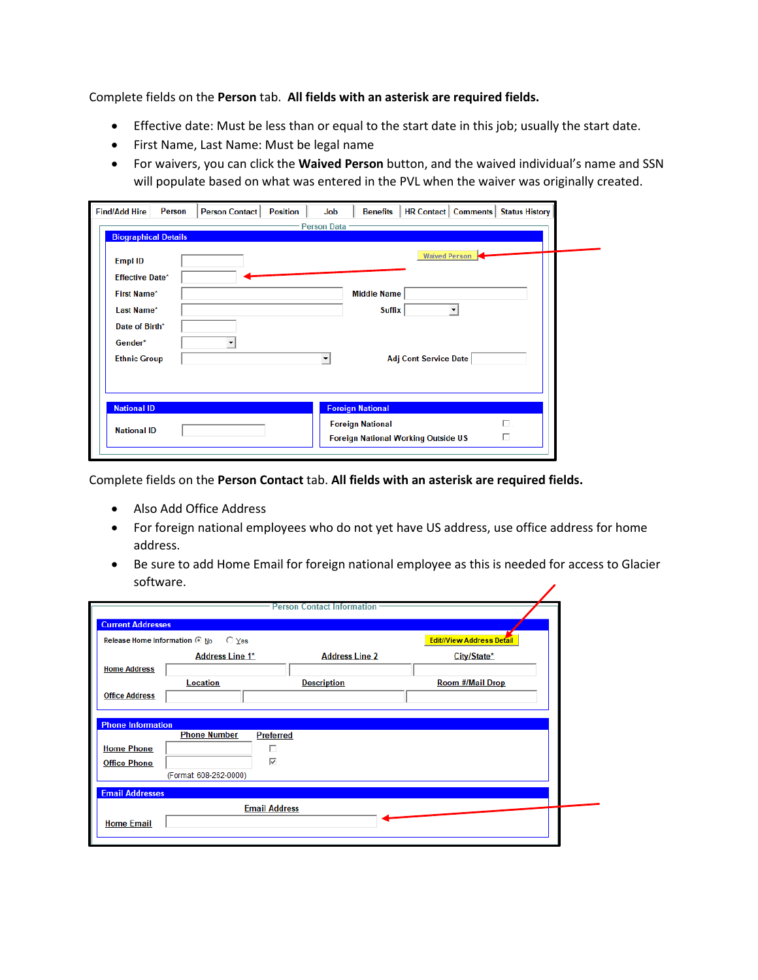Complete fields on the **Person** tab. **All fields with an asterisk are required fields.**

- Effective date: Must be less than or equal to the start date in this job; usually the start date.
- First Name, Last Name: Must be legal name
- For waivers, you can click the **Waived Person** button, and the waived individual's name and SSN will populate based on what was entered in the PVL when the waiver was originally created.

| <b>Person Data</b><br><b>Biographical Details</b><br><b>Empl ID</b> |                      |
|---------------------------------------------------------------------|----------------------|
|                                                                     |                      |
|                                                                     |                      |
| <b>Effective Date*</b>                                              | <b>Waived Person</b> |
| <b>Middle Name</b><br><b>First Name*</b>                            |                      |
|                                                                     |                      |
| Last Name*<br><b>Suffix</b>                                         |                      |
| Date of Birth*                                                      |                      |
| Gender*                                                             |                      |
| <b>Ethnic Group</b><br>Adj Cont Service Date<br>▾                   |                      |
|                                                                     |                      |
|                                                                     |                      |
| <b>National ID</b><br><b>Foreign National</b>                       |                      |
| <b>Foreign National</b>                                             | 口.                   |
| <b>National ID</b><br><b>Foreign National Working Outside US</b>    | П.                   |

Complete fields on the **Person Contact** tab. **All fields with an asterisk are required fields.**

- Also Add Office Address
- For foreign national employees who do not yet have US address, use office address for home address.
- Be sure to add Home Email for foreign national employee as this is needed for access to Glacier software.◢

|                               |                                         | <b>Person Contact Information</b> |                                  |
|-------------------------------|-----------------------------------------|-----------------------------------|----------------------------------|
| <b>Current Addresses</b>      |                                         |                                   |                                  |
| Release Home Information © No | $\bigcirc$ Yes                          |                                   | <b>Edit//View Address Detail</b> |
|                               | <b>Address Line 1*</b>                  | <b>Address Line 2</b>             | City/State*                      |
| <b>Home Address</b>           |                                         |                                   |                                  |
|                               | <b>Location</b>                         | <b>Description</b>                | <b>Room #/Mail Drop</b>          |
| <b>Office Address</b>         |                                         |                                   |                                  |
|                               |                                         |                                   |                                  |
| <b>Phone Information</b>      |                                         |                                   |                                  |
|                               | <b>Phone Number</b><br><b>Preferred</b> |                                   |                                  |
| <b>Home Phone</b>             | г.                                      |                                   |                                  |
| <b>Office Phone</b>           | $\overline{\vee}$                       |                                   |                                  |
|                               | (Format: 608-262-0000)                  |                                   |                                  |
| <b>Email Addresses</b>        |                                         |                                   |                                  |
|                               | <b>Email Address</b>                    |                                   |                                  |
|                               |                                         |                                   |                                  |
| <b>Home Email</b>             |                                         |                                   |                                  |
|                               |                                         |                                   |                                  |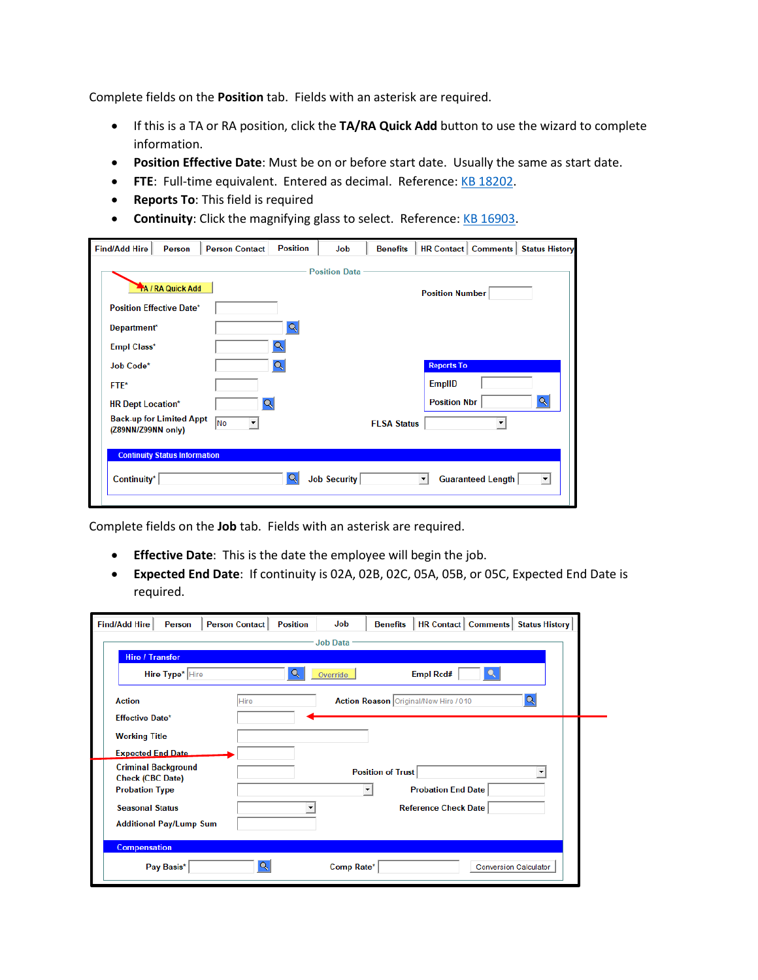Complete fields on the **Position** tab. Fields with an asterisk are required.

- If this is a TA or RA position, click the **TA/RA Quick Add** button to use the wizard to complete information.
- **Position Effective Date**: Must be on or before start date. Usually the same as start date.
- **FTE**: Full-time equivalent. Entered as decimal. Reference[: KB 18202.](https://kb.wisc.edu/18202)
- **Reports To**: This field is required
- **Continuity**: Click the magnifying glass to select. Reference: [KB 16903.](https://kb.wisc.edu/16903)

| <b>Find/Add Hire</b>                              | <b>Person</b>                        | <b>Person Contact</b> | <b>Position</b> | Job                  | <b>Benefits</b>    |                     |                          | <b>HR Contact   Comments   Status History</b> |
|---------------------------------------------------|--------------------------------------|-----------------------|-----------------|----------------------|--------------------|---------------------|--------------------------|-----------------------------------------------|
|                                                   |                                      |                       |                 | <b>Position Data</b> |                    |                     |                          |                                               |
| <b>A / RA Quick Add</b><br><b>Position Number</b> |                                      |                       |                 |                      |                    |                     |                          |                                               |
| <b>Position Effective Date*</b>                   |                                      |                       |                 |                      |                    |                     |                          |                                               |
| Department*                                       |                                      |                       | Q               |                      |                    |                     |                          |                                               |
| <b>Empl Class*</b>                                |                                      |                       |                 |                      |                    |                     |                          |                                               |
| Job Code*                                         |                                      |                       | Q               |                      |                    | <b>Reports To</b>   |                          |                                               |
| FTE*                                              |                                      |                       |                 |                      |                    | <b>EmpIID</b>       |                          |                                               |
| <b>HR Dept Location*</b>                          |                                      |                       |                 |                      |                    | <b>Position Nbr</b> |                          | Q                                             |
| (Z89NN/Z99NN only)                                | <b>Back-up for Limited Appt</b>      | No                    |                 |                      | <b>FLSA Status</b> |                     |                          |                                               |
|                                                   | <b>Continuity Status Information</b> |                       |                 |                      |                    |                     |                          |                                               |
| Continuity*                                       |                                      |                       | Q               | <b>Job Security</b>  |                    |                     | <b>Guaranteed Length</b> | $\blacktriangledown$                          |
|                                                   |                                      |                       |                 |                      |                    |                     |                          |                                               |

Complete fields on the **Job** tab. Fields with an asterisk are required.

- **Effective Date**:This is the date the employee will begin the job.
- **Expected End Date**: If continuity is 02A, 02B, 02C, 05A, 05B, or 05C, Expected End Date is required.

| <b>Find/Add Hire</b><br>Person<br><b>Person Contact</b> | Job<br><b>Position</b> | <b>Benefits</b>                       |                             | <b>HR Contact   Comments  </b> | <b>Status History</b>        |
|---------------------------------------------------------|------------------------|---------------------------------------|-----------------------------|--------------------------------|------------------------------|
|                                                         | <b>Job Data</b>        |                                       |                             |                                |                              |
| <b>Hire / Transfer</b>                                  |                        |                                       |                             |                                |                              |
| Hire Type* Hire                                         | Override               |                                       | <b>Empl Rcd#</b>            |                                |                              |
| <b>Action</b><br>Hire                                   |                        | Action Reason Original/New Hire / 010 |                             |                                | Q                            |
| <b>Effective Date*</b>                                  |                        |                                       |                             |                                |                              |
| <b>Working Title</b>                                    |                        |                                       |                             |                                |                              |
| <b>Expected End Date</b>                                |                        |                                       |                             |                                |                              |
| <b>Criminal Background</b>                              |                        | <b>Position of Trust</b>              |                             |                                |                              |
| <b>Check (CBC Date)</b><br><b>Probation Type</b>        |                        |                                       | <b>Probation End Date</b>   |                                |                              |
| <b>Seasonal Status</b>                                  |                        |                                       | <b>Reference Check Date</b> |                                |                              |
| <b>Additional Pay/Lump Sum</b>                          |                        |                                       |                             |                                |                              |
| <b>Compensation</b>                                     |                        |                                       |                             |                                |                              |
| Pay Basis*                                              | Q<br>Comp Rate*        |                                       |                             |                                | <b>Conversion Calculator</b> |